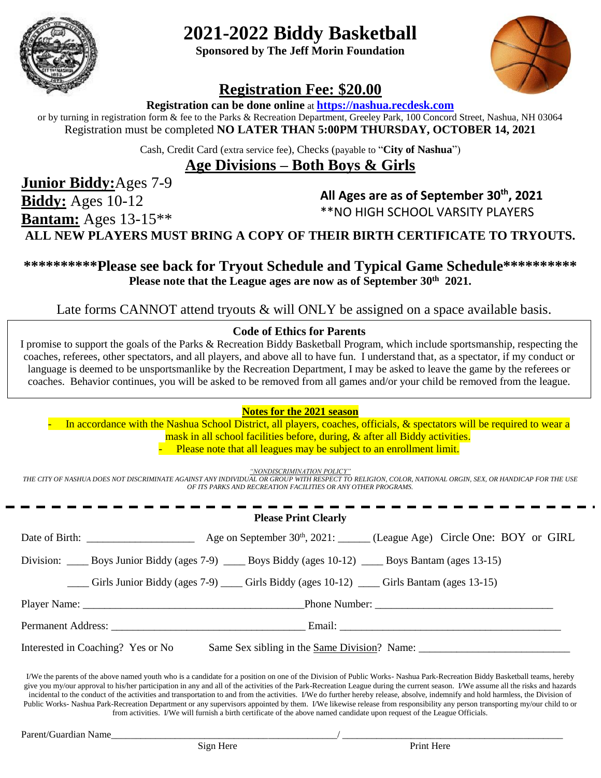

# **2021-2022 Biddy Basketball**

**Sponsored by The Jeff Morin Foundation**



### **Registration Fee: \$20.00**

**Registration can be done online** at **[https://nashua.recdesk.com](https://nashua.recdesk.com/)**

or by turning in registration form & fee to the Parks & Recreation Department, Greeley Park, 100 Concord Street, Nashua, NH 03064 Registration must be completed **NO LATER THAN 5:00PM THURSDAY, OCTOBER 14, 2021**

Cash, Credit Card (extra service fee), Checks (payable to "**City of Nashua**")

**Age Divisions – Both Boys & Girls**

**Junior Biddy:**Ages 7-9 **Biddy:** Ages 10-12

**Bantam:** Ages 13-15\*\*

**All Ages are as of September 30th , 2021** \*\*NO HIGH SCHOOL VARSITY PLAYERS

**ALL NEW PLAYERS MUST BRING A COPY OF THEIR BIRTH CERTIFICATE TO TRYOUTS.** 

**\*\*\*\*\*\*\*\*\*\*Please see back for Tryout Schedule and Typical Game Schedule\*\*\*\*\*\*\*\*\*\* Please note that the League ages are now as of September 30th 2021.** 

Late forms CANNOT attend tryouts & will ONLY be assigned on a space available basis.

#### **Code of Ethics for Parents**

I promise to support the goals of the Parks & Recreation Biddy Basketball Program, which include sportsmanship, respecting the coaches, referees, other spectators, and all players, and above all to have fun. I understand that, as a spectator, if my conduct or language is deemed to be unsportsmanlike by the Recreation Department, I may be asked to leave the game by the referees or coaches. Behavior continues, you will be asked to be removed from all games and/or your child be removed from the league.

#### **Notes for the 2021 season**

In accordance with the Nashua School District, all players, coaches, officials, & spectators will be required to wear a mask in all school facilities before, during, & after all Biddy activities. Please note that all leagues may be subject to an enrollment limit.

*"NONDISCRIMINATION POLICY"*

*THE CITY OF NASHUA DOES NOT DISCRIMINATE AGAINST ANY INDIVIDUAL OR GROUP WITH RESPECT TO RELIGION, COLOR, NATIONAL ORGIN, SEX, OR HANDICAP FOR THE USE OF ITS PARKS AND RECREATION FACILITIES OR ANY OTHER PROGRAMS.*

#### **Please Print Clearly**

| Date of Birth: $\frac{1}{2}$                                                                 | Age on September $30^{\text{th}}$ , 2021: ______ (League Age) Circle One: BOY or GIRL                     |
|----------------------------------------------------------------------------------------------|-----------------------------------------------------------------------------------------------------------|
|                                                                                              | Division: _____ Boys Junior Biddy (ages 7-9) _____ Boys Biddy (ages 10-12) _____ Boys Bantam (ages 13-15) |
| Girls Junior Biddy (ages 7-9) _____ Girls Biddy (ages 10-12) _____ Girls Bantam (ages 13-15) |                                                                                                           |
|                                                                                              |                                                                                                           |
|                                                                                              | Permanent Address: Email: Email:                                                                          |
| Interested in Coaching? Yes or No                                                            |                                                                                                           |

I/We the parents of the above named youth who is a candidate for a position on one of the Division of Public Works- Nashua Park-Recreation Biddy Basketball teams, hereby give you my/our approval to his/her participation in any and all of the activities of the Park-Recreation League during the current season. I/We assume all the risks and hazards incidental to the conduct of the activities and transportation to and from the activities. I/We do further hereby release, absolve, indemnify and hold harmless, the Division of Public Works- Nashua Park-Recreation Department or any supervisors appointed by them. I/We likewise release from responsibility any person transporting my/our child to or from activities. I/We will furnish a birth certificate of the above named candidate upon request of the League Officials.

Parent/Guardian Name